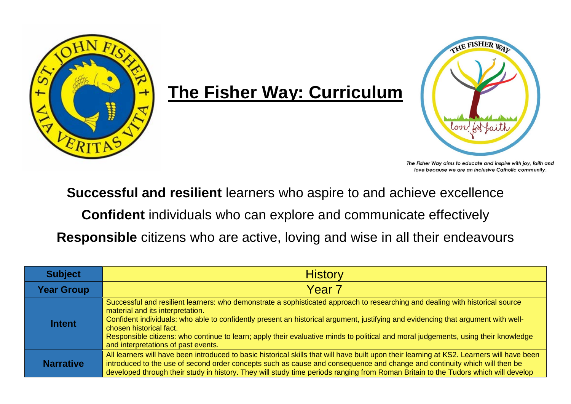

## **The Fisher Way: Curriculum**



The Fisher Way aims to educate and inspire with joy, faith and love because we are an inclusive Catholic community.

**Successful and resilient** learners who aspire to and achieve excellence

**Confident** individuals who can explore and communicate effectively

**Responsible** citizens who are active, loving and wise in all their endeavours

| <b>Subject</b>    | <b>History</b>                                                                                                                                                                                                                                                                                                                                                                                                                                                                                                 |
|-------------------|----------------------------------------------------------------------------------------------------------------------------------------------------------------------------------------------------------------------------------------------------------------------------------------------------------------------------------------------------------------------------------------------------------------------------------------------------------------------------------------------------------------|
| <b>Year Group</b> | Year <sub>7</sub>                                                                                                                                                                                                                                                                                                                                                                                                                                                                                              |
| <b>Intent</b>     | Successful and resilient learners: who demonstrate a sophisticated approach to researching and dealing with historical source<br>material and its interpretation.<br>Confident individuals: who able to confidently present an historical argument, justifying and evidencing that argument with well-<br>chosen historical fact.<br>Responsible citizens: who continue to learn; apply their evaluative minds to political and moral judgements, using their knowledge<br>and interpretations of past events. |
| <b>Narrative</b>  | All learners will have been introduced to basic historical skills that will have built upon their learning at KS2. Learners will have been<br>introduced to the use of second order concepts such as cause and consequence and change and continuity which will then be<br>developed through their study in history. They will study time periods ranging from Roman Britain to the Tudors which will develop                                                                                                  |